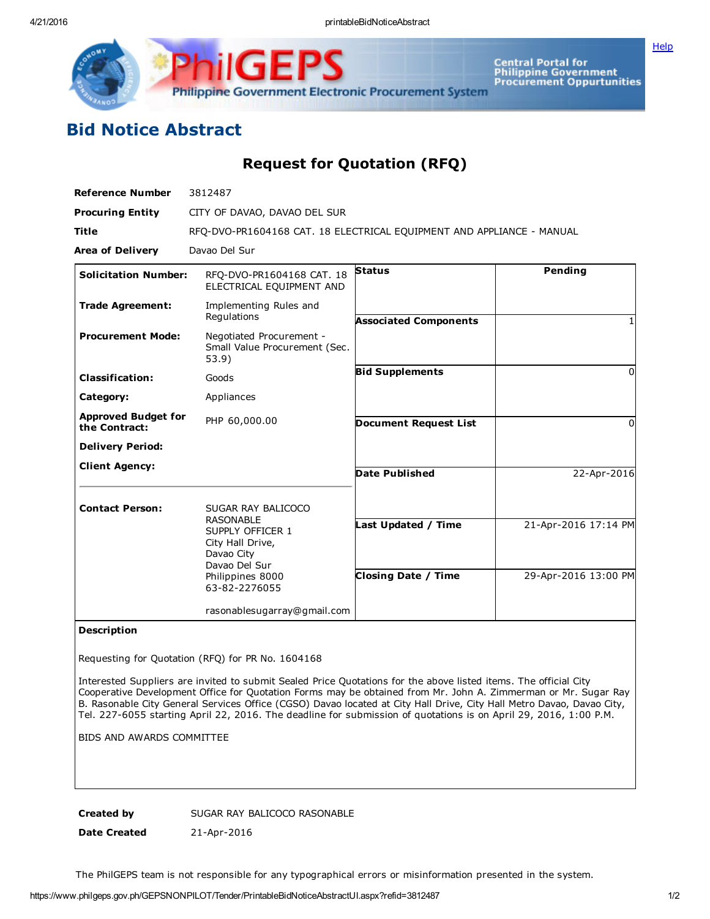Philippine Government Electronic Procurement System

Central Portal for<br>Philippine Government<br>Procurement Oppurtunities

**[Help](javascript:void(window.open()** 

## Bid Notice Abstract

Request for Quotation (RFQ)

| <b>Reference Number</b>                     | 3812487                                                                                                                                                                           |                                                   |                                              |
|---------------------------------------------|-----------------------------------------------------------------------------------------------------------------------------------------------------------------------------------|---------------------------------------------------|----------------------------------------------|
| <b>Procuring Entity</b>                     | CITY OF DAVAO, DAVAO DEL SUR                                                                                                                                                      |                                                   |                                              |
| <b>Title</b>                                | RFQ-DVO-PR1604168 CAT. 18 ELECTRICAL EQUIPMENT AND APPLIANCE - MANUAL                                                                                                             |                                                   |                                              |
| <b>Area of Delivery</b>                     | Davao Del Sur                                                                                                                                                                     |                                                   |                                              |
| <b>Solicitation Number:</b>                 | RFQ-DVO-PR1604168 CAT. 18<br>ELECTRICAL EQUIPMENT AND                                                                                                                             | <b>Status</b>                                     | Pending                                      |
| <b>Trade Agreement:</b>                     | Implementing Rules and<br>Regulations                                                                                                                                             | <b>Associated Components</b>                      |                                              |
| <b>Procurement Mode:</b>                    | Negotiated Procurement -<br>Small Value Procurement (Sec.<br>53.9)                                                                                                                |                                                   |                                              |
| <b>Classification:</b>                      | Goods                                                                                                                                                                             | <b>Bid Supplements</b>                            | 0                                            |
| Category:                                   | Appliances                                                                                                                                                                        |                                                   |                                              |
| <b>Approved Budget for</b><br>the Contract: | PHP 60,000.00                                                                                                                                                                     | <b>Document Request List</b>                      | O                                            |
| <b>Delivery Period:</b>                     |                                                                                                                                                                                   |                                                   |                                              |
| <b>Client Agency:</b>                       |                                                                                                                                                                                   | <b>Date Published</b>                             | 22-Apr-2016                                  |
| <b>Contact Person:</b>                      | SUGAR RAY BALICOCO<br><b>RASONABLE</b><br>SUPPLY OFFICER 1<br>City Hall Drive,<br>Davao City<br>Davao Del Sur<br>Philippines 8000<br>63-82-2276055<br>rasonablesugarray@gmail.com | Last Updated / Time<br><b>Closing Date / Time</b> | 21-Apr-2016 17:14 PM<br>29-Apr-2016 13:00 PM |

Description

Requesting for Quotation (RFQ) for PR No. 1604168

Interested Suppliers are invited to submit Sealed Price Quotations for the above listed items. The official City Cooperative Development Office for Quotation Forms may be obtained from Mr. John A. Zimmerman or Mr. Sugar Ray B. Rasonable City General Services Office (CGSO) Davao located at City Hall Drive, City Hall Metro Davao, Davao City, Tel. 227-6055 starting April 22, 2016. The deadline for submission of quotations is on April 29, 2016, 1:00 P.M.

BIDS AND AWARDS COMMITTEE

Created by SUGAR RAY BALICOCO RASONABLE

Date Created 21-Apr-2016

The PhilGEPS team is not responsible for any typographical errors or misinformation presented in the system.